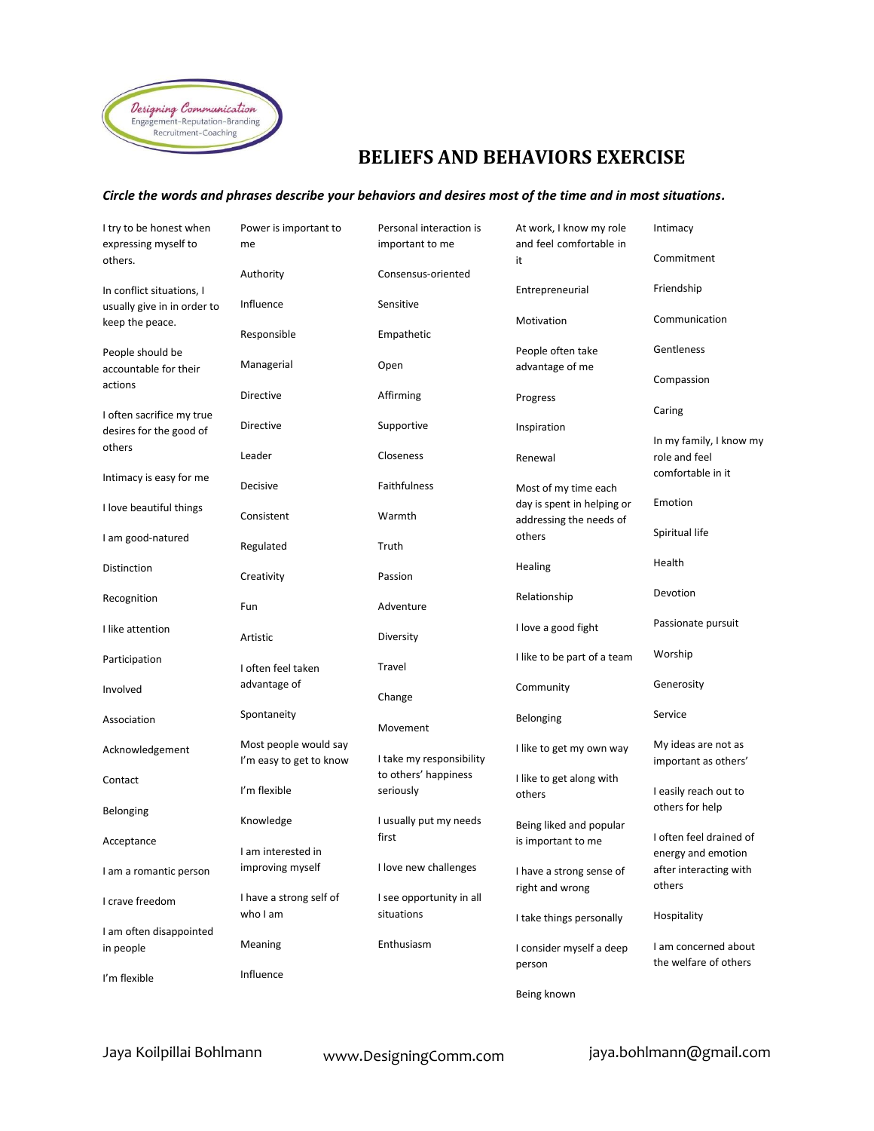

## **BELIEFS AND BEHAVIORS EXERCISE**

## *Circle the words and phrases describe your behaviors and desires most of the time and in most situations.*

| I try to be honest when<br>expressing myself to                             | Power is important to<br>me                      | Personal interaction is<br>important to me | At work, I know my role<br>and feel comfortable in    | Intimacy                                      |
|-----------------------------------------------------------------------------|--------------------------------------------------|--------------------------------------------|-------------------------------------------------------|-----------------------------------------------|
| others.                                                                     | Authority                                        | Consensus-oriented                         | it                                                    | Commitment                                    |
| In conflict situations, I<br>usually give in in order to<br>keep the peace. | Influence                                        | Sensitive                                  | Entrepreneurial                                       | Friendship                                    |
|                                                                             | Responsible                                      | Empathetic                                 | Motivation                                            | Communication                                 |
| People should be<br>accountable for their<br>actions                        | Managerial                                       | Open                                       | People often take<br>advantage of me                  | Gentleness                                    |
|                                                                             | Directive                                        | Affirming                                  | Progress                                              | Compassion                                    |
| I often sacrifice my true<br>desires for the good of                        | Directive                                        | Supportive                                 | Inspiration                                           | Caring                                        |
| others                                                                      | Leader                                           | Closeness                                  | Renewal                                               | In my family, I know my<br>role and feel      |
| Intimacy is easy for me                                                     | Decisive                                         | Faithfulness                               | Most of my time each                                  | comfortable in it                             |
| I love beautiful things                                                     | Consistent                                       | Warmth                                     | day is spent in helping or<br>addressing the needs of | Emotion                                       |
| I am good-natured                                                           | Regulated                                        | Truth                                      | others                                                | Spiritual life                                |
| Distinction                                                                 | Creativity                                       | Passion                                    | Healing                                               | Health                                        |
| Recognition                                                                 | Fun                                              | Adventure                                  | Relationship                                          | Devotion                                      |
| I like attention                                                            | Artistic                                         | Diversity                                  | I love a good fight                                   | Passionate pursuit                            |
| Participation                                                               | I often feel taken                               | Travel                                     | I like to be part of a team                           | Worship                                       |
| Involved                                                                    | advantage of                                     | Change                                     | Community                                             | Generosity                                    |
| Association                                                                 | Spontaneity                                      | Movement                                   | Belonging                                             | Service                                       |
| Acknowledgement                                                             | Most people would say<br>I'm easy to get to know | I take my responsibility                   | I like to get my own way                              | My ideas are not as<br>important as others'   |
| Contact                                                                     | I'm flexible                                     | to others' happiness<br>seriously          | I like to get along with<br>others                    | I easily reach out to                         |
| Belonging                                                                   | Knowledge                                        | I usually put my needs                     | Being liked and popular                               | others for help                               |
| Acceptance                                                                  | I am interested in                               | first                                      | is important to me                                    | I often feel drained of<br>energy and emotion |
| I am a romantic person                                                      | improving myself                                 | I love new challenges                      | I have a strong sense of<br>right and wrong           | after interacting with<br>others              |
| I crave freedom                                                             | I have a strong self of<br>who I am              | I see opportunity in all<br>situations     |                                                       | Hospitality                                   |
| I am often disappointed                                                     |                                                  |                                            | I take things personally                              |                                               |
| in people                                                                   | Meaning<br>Influence                             | Enthusiasm                                 | I consider myself a deep<br>person                    | I am concerned about<br>the welfare of others |
| I'm flexible                                                                |                                                  |                                            | Being known                                           |                                               |